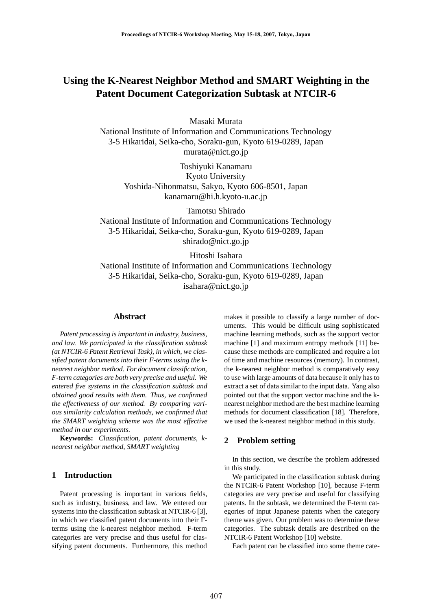# **Using the K-Nearest Neighbor Method and SMART Weighting in the Patent Document Categorization Subtask at NTCIR-6**

Masaki Murata

National Institute of Information and Communications Technology 3-5 Hikaridai, Seika-cho, Soraku-gun, Kyoto 619-0289, Japan murata@nict.go.jp

> Toshiyuki Kanamaru Kyoto University Yoshida-Nihonmatsu, Sakyo, Kyoto 606-8501, Japan kanamaru@hi.h.kyoto-u.ac.jp

Tamotsu Shirado National Institute of Information and Communications Technology 3-5 Hikaridai, Seika-cho, Soraku-gun, Kyoto 619-0289, Japan shirado@nict.go.jp

Hitoshi Isahara

National Institute of Information and Communications Technology 3-5 Hikaridai, Seika-cho, Soraku-gun, Kyoto 619-0289, Japan isahara@nict.go.jp

# **Abstract**

*Patent processing is important in industry, business, and law. We participated in the classification subtask (at NTCIR-6 Patent Retrieval Task), in which, we classified patent documents into their F-terms using the knearest neighbor method. For document classification, F-term categories are both very precise and useful. We entered five systems in the classification subtask and obtained good results with them. Thus, we confirmed the effectiveness of our method. By comparing various similarity calculation methods, we confirmed that the SMART weighting scheme was the most effective method in our experiments.*

**Keywords:** *Classification, patent documents, knearest neighbor method, SMART weighting*

# **1 Introduction**

Patent processing is important in various fields, such as industry, business, and law. We entered our systems into the classification subtask at NTCIR-6 [3], in which we classified patent documents into their Fterms using the k-nearest neighbor method. F-term categories are very precise and thus useful for classifying patent documents. Furthermore, this method makes it possible to classify a large number of documents. This would be difficult using sophisticated machine learning methods, such as the support vector machine [1] and maximum entropy methods [11] because these methods are complicated and require a lot of time and machine resources (memory). In contrast, the k-nearest neighbor method is comparatively easy to use with large amounts of data because it only has to extract a set of data similar to the input data. Yang also pointed out that the support vector machine and the knearest neighbor method are the best machine learning methods for document classification [18]. Therefore, we used the k-nearest neighbor method in this study.

### **2 Problem setting**

In this section, we describe the problem addressed in this study.

We participated in the classification subtask during the NTCIR-6 Patent Workshop [10], because F-term categories are very precise and useful for classifying patents. In the subtask, we determined the F-term categories of input Japanese patents when the category theme was given. Our problem was to determine these categories. The subtask details are described on the NTCIR-6 Patent Workshop [10] website.

Each patent can be classified into some theme cate-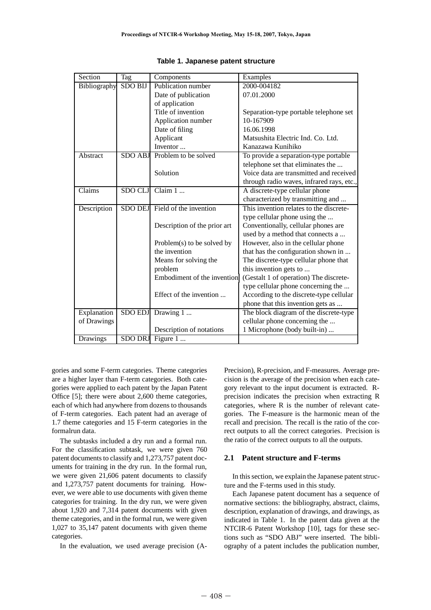| Section      | <b>Tag</b>     | Components                     | Examples                                  |  |  |
|--------------|----------------|--------------------------------|-------------------------------------------|--|--|
| Bibliography | <b>SDO BIJ</b> | Publication number             | 2000-004182                               |  |  |
|              |                | Date of publication            | 07.01.2000                                |  |  |
|              |                | of application                 |                                           |  |  |
|              |                | Title of invention             | Separation-type portable telephone set    |  |  |
|              |                | Application number             | 10-167909                                 |  |  |
|              |                | Date of filing                 | 16.06.1998                                |  |  |
|              |                | Applicant                      | Matsushita Electric Ind. Co. Ltd.         |  |  |
|              |                | Inventor                       | Kanazawa Kunihiko                         |  |  |
| Abstract     | <b>SDO ABJ</b> | Problem to be solved           | To provide a separation-type portable     |  |  |
|              |                |                                | telephone set that eliminates the         |  |  |
|              |                | Solution                       | Voice data are transmitted and received   |  |  |
|              |                |                                | through radio waves, infrared rays, etc., |  |  |
| Claims       | SDO CLJ        | Claim $1 \dots$                | A discrete-type cellular phone            |  |  |
|              |                |                                | characterized by transmitting and         |  |  |
| Description  |                | SDO DEJ Field of the invention | This invention relates to the discrete-   |  |  |
|              |                |                                | type cellular phone using the             |  |  |
|              |                | Description of the prior art   | Conventionally, cellular phones are       |  |  |
|              |                |                                | used by a method that connects a          |  |  |
|              |                | Problem(s) to be solved by     | However, also in the cellular phone       |  |  |
|              |                | the invention                  | that has the configuration shown in       |  |  |
|              |                | Means for solving the          | The discrete-type cellular phone that     |  |  |
|              |                | problem                        | this invention gets to                    |  |  |
|              |                | Embodiment of the invention    | (Gestalt 1 of operation) The discrete-    |  |  |
|              |                |                                | type cellular phone concerning the        |  |  |
|              |                | Effect of the invention        | According to the discrete-type cellular   |  |  |
|              |                |                                | phone that this invention gets as         |  |  |
| Explanation  |                | SDO EDJ Drawing 1              | The block diagram of the discrete-type    |  |  |
| of Drawings  |                |                                | cellular phone concerning the             |  |  |
|              |                | Description of notations       | 1 Microphone (body built-in)              |  |  |
| Drawings     |                | SDO DRJ Figure 1               |                                           |  |  |

gories and some F-term categories. Theme categories are a higher layer than F-term categories. Both categories were applied to each patent by the Japan Patent Office [5]; there were about 2,600 theme categories, each of which had anywhere from dozens to thousands of F-term categories. Each patent had an average of 1.7 theme categories and 15 F-term categories in the formalrun data.

The subtasks included a dry run and a formal run. For the classification subtask, we were given 760 patent documents to classify and 1,273,757 patent documents for training in the dry run. In the formal run, we were given 21,606 patent documents to classify and 1,273,757 patent documents for training. However, we were able to use documents with given theme categories for training. In the dry run, we were given about 1,920 and 7,314 patent documents with given theme categories, and in the formal run, we were given 1,027 to 35,147 patent documents with given theme categories.

In the evaluation, we used average precision (A-

Precision), R-precision, and F-measures. Average precision is the average of the precision when each category relevant to the input document is extracted. Rprecision indicates the precision when extracting R categories, where R is the number of relevant categories. The F-measure is the harmonic mean of the recall and precision. The recall is the ratio of the correct outputs to all the correct categories. Precision is the ratio of the correct outputs to all the outputs.

#### **2.1 Patent structure and F-terms**

In this section, we explain the Japanese patent structure and the F-terms used in this study.

Each Japanese patent document has a sequence of normative sections: the bibliography, abstract, claims, description, explanation of drawings, and drawings, as indicated in Table 1. In the patent data given at the NTCIR-6 Patent Workshop [10], tags for these sections such as "SDO ABJ" were inserted. The bibliography of a patent includes the publication number,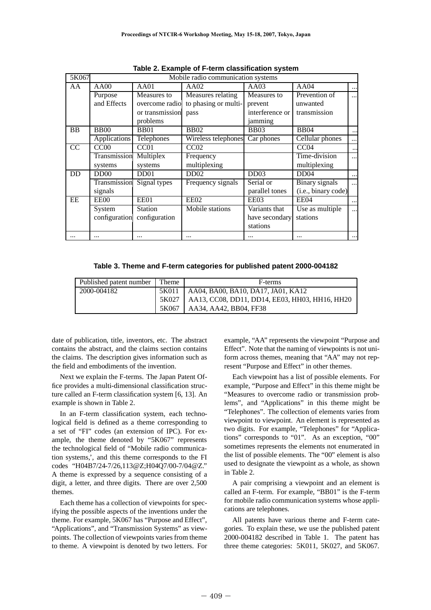| 5K067           | Mobile radio communication systems |                              |                      |                 |                       |            |
|-----------------|------------------------------------|------------------------------|----------------------|-----------------|-----------------------|------------|
| AA              | AA00                               | AA01                         | AA02                 | AA03            |                       | $\cdots$   |
|                 | Purpose                            | Measures to                  | Measures relating    | Measures to     | Prevention of         | $\ddotsc$  |
|                 | and Effects                        | overcome radio               | to phasing or multi- | prevent         | unwanted              |            |
|                 |                                    | or transmission              | pass                 | interference or | transmission          |            |
|                 |                                    | problems                     |                      | jamming         |                       |            |
| <b>BB</b>       | <b>BB00</b>                        | <b>BB01</b>                  | <b>BB02</b>          | <b>BB03</b>     | <b>BB04</b>           |            |
|                 | <b>Applications</b>                | Telephones                   | Wireless telephones  | Car phones      | Cellular phones       | $\cdots$   |
| $\overline{CC}$ | CC00                               | CC <sub>01</sub>             | CC02                 |                 | CC <sub>04</sub>      | $\ddotsc$  |
|                 | Transmission                       | Multiplex                    | Frequency            |                 | Time-division         | $\cdots$   |
|                 | systems                            | systems                      | multiplexing         |                 | multiplexing          |            |
| DD              | DD <sub>00</sub>                   | D <sub>D</sub> <sub>01</sub> | DD02                 | DD03            | DD04                  | $\cdots$   |
|                 | Transmission                       | Signal types                 | Frequency signals    | Serial or       | <b>Binary</b> signals | $\dddotsc$ |
|                 | signals                            |                              |                      | parallel tones  | (i.e., binary code)   |            |
| EE              | EE00                               | EE01                         | EE02                 | EE03            | EE04                  | $\cdots$   |
|                 | System                             | <b>Station</b>               | Mobile stations      | Variants that   | Use as multiple       |            |
|                 | configuration                      | configuration                |                      | have secondary  | stations              |            |
|                 |                                    |                              |                      | stations        |                       |            |
|                 |                                    |                              |                      |                 |                       |            |

**Table 2. Example of F-term classification system**

**Table 3. Theme and F-term categories for published patent 2000-004182**

| Published patent number | <b>Theme</b> | F-terms                                        |  |
|-------------------------|--------------|------------------------------------------------|--|
| 2000-004182             | 5K011        | $\vert$ AA04, BA00, BA10, DA17, JA01, KA12     |  |
|                         | 5K027        | AA13, CC08, DD11, DD14, EE03, HH03, HH16, HH20 |  |
|                         | 5K067        | AA34, AA42, BB04, FF38                         |  |

date of publication, title, inventors, etc. The abstract contains the abstract, and the claims section contains the claims. The description gives information such as the field and embodiments of the invention.

Next we explain the F-terms. The Japan Patent Office provides a multi-dimensional classification structure called an F-term classification system [6, 13]. An example is shown in Table 2.

In an F-term classification system, each technological field is defined as a theme corresponding to a set of "FI" codes (an extension of IPC). For example, the theme denoted by "5K067" represents the technological field of "Mobile radio communication systems,', and this theme corresponds to the FI codes "H04B7/24-7/26,113@Z;H04Q7/00-7/04@Z." A theme is expressed by a sequence consisting of a digit, a letter, and three digits. There are over 2,500 themes.

Each theme has a collection of viewpoints for specifying the possible aspects of the inventions under the theme. For example, 5K067 has "Purpose and Effect", "Applications", and "Transmission Systems" as viewpoints. The collection of viewpoints varies from theme to theme. A viewpoint is denoted by two letters. For

example, "AA" represents the viewpoint "Purpose and Effect". Note that the naming of viewpoints is not uniform across themes, meaning that "AA" may not represent "Purpose and Effect" in other themes.

Each viewpoint has a list of possible elements. For example, "Purpose and Effect" in this theme might be "Measures to overcome radio or transmission problems", and "Applications" in this theme might be "Telephones". The collection of elements varies from viewpoint to viewpoint. An element is represented as two digits. For example, "Telephones" for "Applications" corresponds to "01". As an exception, "00" sometimes represents the elements not enumerated in the list of possible elements. The "00" element is also used to designate the viewpoint as a whole, as shown in Table 2.

A pair comprising a viewpoint and an element is called an F-term. For example, "BB01" is the F-term for mobile radio communication systems whose applications are telephones.

All patents have various theme and F-term categories. To explain these, we use the published patent 2000-004182 described in Table 1. The patent has three theme categories: 5K011, 5K027, and 5K067.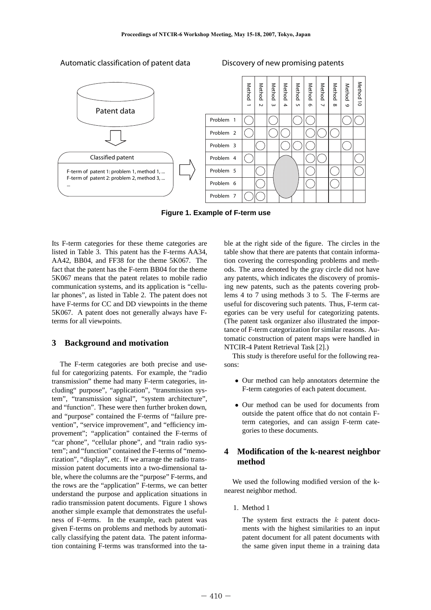



**Figure 1. Example of F-term use**

Its F-term categories for these theme categories are listed in Table 3. This patent has the F-terms AA34, AA42, BB04, and FF38 for the theme 5K067. The fact that the patent has the F-term BB04 for the theme 5K067 means that the patent relates to mobile radio communication systems, and its application is "cellular phones", as listed in Table 2. The patent does not have F-terms for CC and DD viewpoints in the theme 5K067. A patent does not generally always have Fterms for all viewpoints.

#### **3 Background and motivation**

The F-term categories are both precise and useful for categorizing patents. For example, the "radio transmission" theme had many F-term categories, including" purpose", "application", "transmission system", "transmission signal", "system architecture", and "function". These were then further broken down, and "purpose" contained the F-terms of "failure prevention", "service improvement", and "efficiency improvement"; "application" contained the F-terms of "car phone", "cellular phone", and "train radio system"; and "function" contained the F-terms of "memorization", "display", etc. If we arrange the radio transmission patent documents into a two-dimensional table, where the columns are the "purpose" F-terms, and the rows are the "application" F-terms, we can better understand the purpose and application situations in radio transmission patent documents. Figure 1 shows another simple example that demonstrates the usefulness of F-terms. In the example, each patent was given F-terms on problems and methods by automatically classifying the patent data. The patent information containing F-terms was transformed into the table at the right side of the figure. The circles in the table show that there are patents that contain information covering the corresponding problems and methods. The area denoted by the gray circle did not have any patents, which indicates the discovery of promising new patents, such as the patents covering problems 4 to 7 using methods 3 to 5. The F-terms are useful for discovering such patents. Thus, F-term categories can be very useful for categorizing patents. (The patent task organizer also illustrated the importance of F-term categorization for similar reasons. Automatic construction of patent maps were handled in NTCIR-4 Patent Retrieval Task [2].)

This study is therefore useful for the following reasons:

- Our method can help annotators determine the F-term categories of each patent document.
- Our method can be used for documents from outside the patent office that do not contain Fterm categories, and can assign F-term categories to these documents.

# **4 Modification of the k-nearest neighbor method**

We used the following modified version of the knearest neighbor method.

1. Method 1

The system first extracts the  $k$  patent documents with the highest similarities to an input patent document for all patent documents with the same given input theme in a training data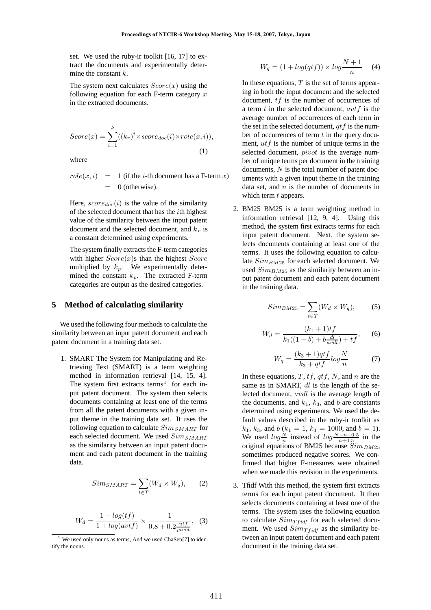set. We used the ruby-ir toolkit [16, 17] to extract the documents and experimentally determine the constant  $k$ .

The system next calculates  $Score(x)$  using the following equation for each F-term category  $x$ in the extracted documents.

$$
Score(x) = \sum_{i=1}^{k} ((k_r)^i \times score_{doc}(i) \times role(x, i)),
$$
\n(1)

where

$$
role(x, i) = 1 (if the i-th document has a F-term x)
$$
  
= 0 (otherwise).

Here,  $score_{doc}(i)$  is the value of the similarity of the selected document that has the ith highest value of the similarity between the input patent document and the selected document, and  $k_r$  is a constant determined using experiments.

The system finally extracts the F-term categories with higher  $Score(x)$ s than the highest  $Score$ multiplied by  $k_p$ . We experimentally determined the constant  $k_p$ . The extracted F-term categories are output as the desired categories.

#### **5 Method of calculating similarity**

We used the following four methods to calculate the similarity between an input patent document and each patent document in a training data set.

1. SMART The System for Manipulating and Retrieving Text (SMART) is a term weighting method in information retrieval [14, 15, 4]. The system first extracts terms<sup>1</sup> for each input patent document. The system then selects documents containing at least one of the terms from all the patent documents with a given input theme in the training data set. It uses the following equation to calculate  $Sim_{SMART}$  for each selected document. We used  $Sim_{SMART}$ as the similarity between an input patent document and each patent document in the training data.

$$
Sim_{SMART} = \sum_{t \in T} (W_d \times W_q), \qquad (2)
$$

$$
W_d = \frac{1 + \log(tf)}{1 + \log(\text{avtf})} \times \frac{1}{0.8 + 0.2 \frac{\text{utf}}{\text{pivot}}},
$$
 (3)

$$
W_q = (1 + \log(qtf)) \times \log \frac{N+1}{n} \quad (4)
$$

In these equations,  $T$  is the set of terms appearing in both the input document and the selected document, tf is the number of occurrences of a term  $t$  in the selected document,  $avtf$  is the average number of occurrences of each term in the set in the selected document,  $qtf$  is the number of occurrences of term  $t$  in the query document,  $utf$  is the number of unique terms in the selected document, *pivot* is the average number of unique terms per document in the training documents, N is the total number of patent documents with a given input theme in the training data set, and  $n$  is the number of documents in which term  $t$  appears.

2. BM25 BM25 is a term weighting method in information retrieval [12, 9, 4]. Using this method, the system first extracts terms for each input patent document. Next, the system selects documents containing at least one of the terms. It uses the following equation to calculate  $Sim_{BM25}$  for each selected document. We used  $Sim_{B M25}$  as the similarity between an input patent document and each patent document in the training data.

$$
Sim_{BM25} = \sum_{t \in T} (W_d \times W_q), \tag{5}
$$

$$
W_d = \frac{(k_1 + 1)t f}{k_1((1 - b) + b \frac{dl}{avdl}) + tf},
$$
 (6)

$$
W_q = \frac{(k_3 + 1)qtf}{k_3 + qtf} \log \frac{N}{n} \tag{7}
$$

In these equations,  $T, tf, qtf, N$ , and n are the same as in SMART, dl is the length of the selected document, avdl is the average length of the documents, and  $k_1$ ,  $k_3$ , and b are constants determined using experiments. We used the default values described in the ruby-ir toolkit as  $k_1$ ,  $k_3$ , and  $b$  ( $k_1 = 1$ ,  $k_3 = 1000$ , and  $b = 1$ ). We used  $log \frac{N}{n}$  instead of  $log \frac{N-n+0.5}{n+0.5}$  in the original equations of BM25 because  $Sim_{BM25}$ sometimes produced negative scores. We confirmed that higher F-measures were obtained when we made this revision in the experiments.

3. Tfidf With this method, the system first extracts terms for each input patent document. It then selects documents containing at least one of the terms. The system uses the following equation to calculate  $Sim_{T f i df}$  for each selected document. We used  $Sim_{T f i df}$  as the similarity between an input patent document and each patent document in the training data set.

<sup>&</sup>lt;sup>1</sup> We used only nouns as terms, And we used ChaSen[7] to identify the nouns.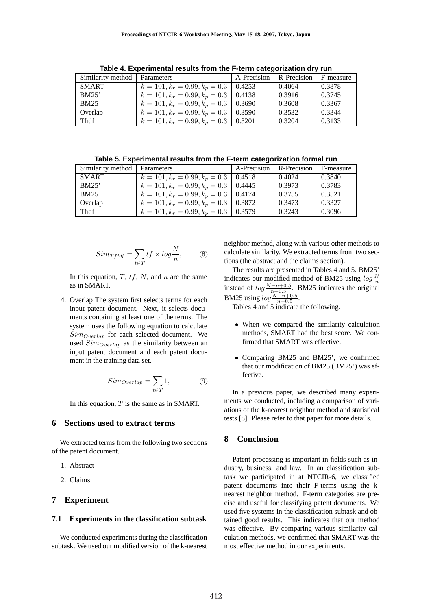| Similarity method   Parameters |                                              | A-Precision R-Precision |        | F-measure |
|--------------------------------|----------------------------------------------|-------------------------|--------|-----------|
| <b>SMART</b>                   | $k = 101, k_r = 0.99, k_p = 0.3 \mid 0.4253$ |                         | 0.4064 | 0.3878    |
| BM25'                          | $k = 101, k_r = 0.99, k_p = 0.3$   0.4138    |                         | 0.3916 | 0.3745    |
| <b>BM25</b>                    | $k = 101, k_r = 0.99, k_p = 0.3$ 0.3690      |                         | 0.3608 | 0.3367    |
| Overlap                        | $k = 101, k_r = 0.99, k_p = 0.3$   0.3590    |                         | 0.3532 | 0.3344    |
| Tfidf                          | $k = 101, k_r = 0.99, k_p = 0.3$   0.3201    |                         | 0.3204 | 0.3133    |

**Table 4. Experimental results from the F-term categorization dry run**

**Table 5. Experimental results from the F-term categorization formal run**

| Similarity method   Parameters |                                           | A-Precision R-Precision F-measure |        |
|--------------------------------|-------------------------------------------|-----------------------------------|--------|
| <b>SMART</b>                   | $k = 101, k_r = 0.99, k_p = 0.3$   0.4518 | 0.4024                            | 0.3840 |
| BM25'                          | $k = 101, k_r = 0.99, k_p = 0.3$   0.4445 | 0.3973                            | 0.3783 |
| <b>BM25</b>                    | $k = 101, k_r = 0.99, k_p = 0.3$   0.4174 | 0.3755                            | 0.3521 |
| Overlap                        | $k = 101, k_r = 0.99, k_p = 0.3$ 0.3872   | 0.3473                            | 0.3327 |
| Tfidf                          | $k = 101, k_r = 0.99, k_p = 0.3$   0.3579 | 0.3243                            | 0.3096 |

$$
Sim_{Tfidf} = \sum_{t \in T} tf \times log \frac{N}{n}, \qquad (8)
$$

In this equation,  $T$ ,  $tf$ ,  $N$ , and  $n$  are the same as in SMART.

4. Overlap The system first selects terms for each input patent document. Next, it selects documents containing at least one of the terms. The system uses the following equation to calculate  $Sim_{Overall}$  for each selected document. We used  $Sim_{Overallap}$  as the similarity between an input patent document and each patent document in the training data set.

$$
Sim_{\text{Overlap}} = \sum_{t \in T} 1,\tag{9}
$$

In this equation,  $T$  is the same as in SMART.

# **6 Sections used to extract terms**

We extracted terms from the following two sections of the patent document.

- 1. Abstract
- 2. Claims

#### **7 Experiment**

#### **7.1 Experiments in the classification subtask**

We conducted experiments during the classification subtask. We used our modified version of the k-nearest

neighbor method, along with various other methods to calculate similarity. We extracted terms from two sections (the abstract and the claims section).

The results are presented in Tables 4 and 5. BM25' indicates our modified method of BM25 using  $log \frac{N}{n}$ instead of  $log \frac{N-n+0.5}{n+0.5}$ . BM25 indicates the original BM25 using  $log \frac{N-n+0.5}{n+0.5}$ .

Tables 4 and 5 indicate the following.

- When we compared the similarity calculation methods, SMART had the best score. We confirmed that SMART was effective.
- Comparing BM25 and BM25', we confirmed that our modification of BM25 (BM25') was effective.

In a previous paper, we described many experiments we conducted, including a comparison of variations of the k-nearest neighbor method and statistical tests [8]. Please refer to that paper for more details.

# **8 Conclusion**

Patent processing is important in fields such as industry, business, and law. In an classification subtask we participated in at NTCIR-6, we classified patent documents into their F-terms using the knearest neighbor method. F-term categories are precise and useful for classifying patent documents. We used five systems in the classification subtask and obtained good results. This indicates that our method was effective. By comparing various similarity calculation methods, we confirmed that SMART was the most effective method in our experiments.